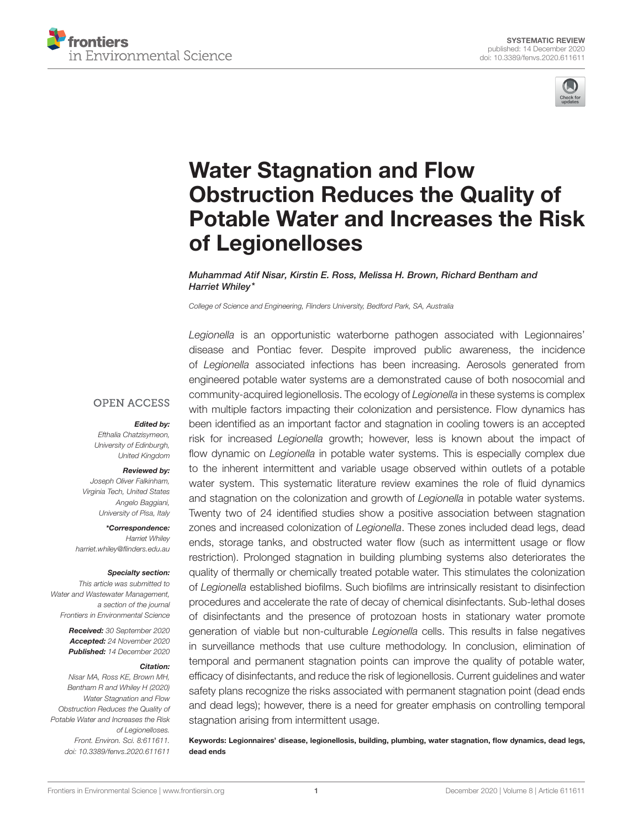



# Water Stagnation and Flow Obstruction Reduces the Quality of [Potable Water and Increases the Risk](https://www.frontiersin.org/articles/10.3389/fenvs.2020.611611/full) of Legionelloses

Muhammad Atif Nisar, Kirstin E. Ross, Melissa H. Brown, Richard Bentham and Harriet Whiley\*

*College of Science and Engineering, Flinders University, Bedford Park, SA, Australia*

**OPEN ACCESS** 

#### Edited by:

*Efthalia Chatzisymeon, University of Edinburgh, United Kingdom*

#### Reviewed by:

*Joseph Oliver Falkinham, Virginia Tech, United States Angelo Baggiani, University of Pisa, Italy*

\*Correspondence: *Harriet Whiley [harriet.whiley@flinders.edu.au](mailto:harriet.whiley@flinders.edu.au)*

#### Specialty section:

*This article was submitted to Water and Wastewater Management, a section of the journal Frontiers in Environmental Science*

> Received: *30 September 2020* Accepted: *24 November 2020* Published: *14 December 2020*

#### Citation:

*Nisar MA, Ross KE, Brown MH, Bentham R and Whiley H (2020) Water Stagnation and Flow Obstruction Reduces the Quality of Potable Water and Increases the Risk of Legionelloses. Front. Environ. Sci. 8:611611. doi: [10.3389/fenvs.2020.611611](https://doi.org/10.3389/fenvs.2020.611611)*

*Legionella* is an opportunistic waterborne pathogen associated with Legionnaires' disease and Pontiac fever. Despite improved public awareness, the incidence of *Legionella* associated infections has been increasing. Aerosols generated from engineered potable water systems are a demonstrated cause of both nosocomial and community-acquired legionellosis. The ecology of *Legionella* in these systems is complex with multiple factors impacting their colonization and persistence. Flow dynamics has been identified as an important factor and stagnation in cooling towers is an accepted risk for increased *Legionella* growth; however, less is known about the impact of flow dynamic on *Legionella* in potable water systems. This is especially complex due to the inherent intermittent and variable usage observed within outlets of a potable water system. This systematic literature review examines the role of fluid dynamics and stagnation on the colonization and growth of *Legionella* in potable water systems. Twenty two of 24 identified studies show a positive association between stagnation zones and increased colonization of *Legionella*. These zones included dead legs, dead ends, storage tanks, and obstructed water flow (such as intermittent usage or flow restriction). Prolonged stagnation in building plumbing systems also deteriorates the quality of thermally or chemically treated potable water. This stimulates the colonization of *Legionella* established biofilms. Such biofilms are intrinsically resistant to disinfection procedures and accelerate the rate of decay of chemical disinfectants. Sub-lethal doses of disinfectants and the presence of protozoan hosts in stationary water promote generation of viable but non-culturable *Legionella* cells. This results in false negatives in surveillance methods that use culture methodology. In conclusion, elimination of temporal and permanent stagnation points can improve the quality of potable water, efficacy of disinfectants, and reduce the risk of legionellosis. Current guidelines and water safety plans recognize the risks associated with permanent stagnation point (dead ends and dead legs); however, there is a need for greater emphasis on controlling temporal stagnation arising from intermittent usage.

Keywords: Legionnaires' disease, legionellosis, building, plumbing, water stagnation, flow dynamics, dead legs, dead ends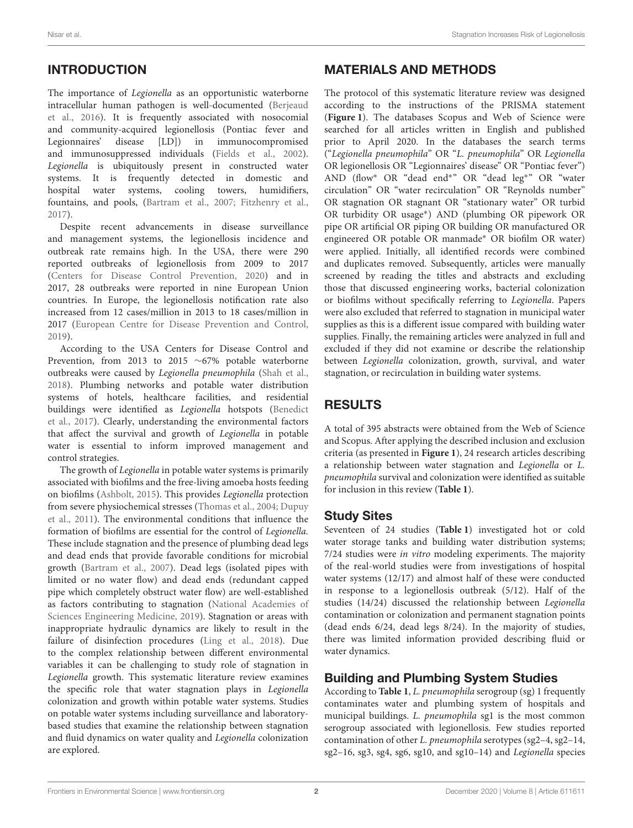# INTRODUCTION

The importance of Legionella as an opportunistic waterborne intracellular human pathogen is well-documented (Berjeaud et al., [2016\)](#page-10-0). It is frequently associated with nosocomial and community-acquired legionellosis (Pontiac fever and Legionnaires' disease [LD]) in immunocompromised and immunosuppressed individuals [\(Fields et al., 2002\)](#page-11-0). Legionella is ubiquitously present in constructed water systems. It is frequently detected in domestic and hospital water systems, cooling towers, humidifiers, fountains, and pools, [\(Bartram et al., 2007;](#page-10-1) [Fitzhenry et al.,](#page-11-1) [2017\)](#page-11-1).

Despite recent advancements in disease surveillance and management systems, the legionellosis incidence and outbreak rate remains high. In the USA, there were 290 reported outbreaks of legionellosis from 2009 to 2017 [\(Centers for Disease Control Prevention, 2020\)](#page-10-2) and in 2017, 28 outbreaks were reported in nine European Union countries. In Europe, the legionellosis notification rate also increased from 12 cases/million in 2013 to 18 cases/million in 2017 [\(European Centre for Disease Prevention and Control,](#page-10-3) [2019\)](#page-10-3).

According to the USA Centers for Disease Control and Prevention, from 2013 to 2015 ∼67% potable waterborne outbreaks were caused by Legionella pneumophila [\(Shah et al.,](#page-12-0) [2018\)](#page-12-0). Plumbing networks and potable water distribution systems of hotels, healthcare facilities, and residential buildings were identified as Legionella hotspots (Benedict et al., [2017\)](#page-10-4). Clearly, understanding the environmental factors that affect the survival and growth of Legionella in potable water is essential to inform improved management and control strategies.

The growth of Legionella in potable water systems is primarily associated with biofilms and the free-living amoeba hosts feeding on biofilms [\(Ashbolt, 2015\)](#page-10-5). This provides Legionella protection from severe physiochemical stresses [\(Thomas et al., 2004;](#page-12-1) Dupuy et al., [2011\)](#page-10-6). The environmental conditions that influence the formation of biofilms are essential for the control of Legionella. These include stagnation and the presence of plumbing dead legs and dead ends that provide favorable conditions for microbial growth [\(Bartram et al., 2007\)](#page-10-1). Dead legs (isolated pipes with limited or no water flow) and dead ends (redundant capped pipe which completely obstruct water flow) are well-established as factors contributing to stagnation (National Academies of Sciences Engineering Medicine, [2019\)](#page-11-2). Stagnation or areas with inappropriate hydraulic dynamics are likely to result in the failure of disinfection procedures [\(Ling et al., 2018\)](#page-11-3). Due to the complex relationship between different environmental variables it can be challenging to study role of stagnation in Legionella growth. This systematic literature review examines the specific role that water stagnation plays in Legionella colonization and growth within potable water systems. Studies on potable water systems including surveillance and laboratorybased studies that examine the relationship between stagnation and fluid dynamics on water quality and Legionella colonization are explored.

# MATERIALS AND METHODS

The protocol of this systematic literature review was designed according to the instructions of the PRISMA statement (**[Figure 1](#page-2-0)**). The databases Scopus and Web of Science were searched for all articles written in English and published prior to April 2020. In the databases the search terms ("Legionella pneumophila" OR "L. pneumophila" OR Legionella OR legionellosis OR "Legionnaires' disease" OR "Pontiac fever") AND (flow<sup>∗</sup> OR "dead end<sup>∗</sup> " OR "dead leg<sup>∗</sup> " OR "water circulation" OR "water recirculation" OR "Reynolds number" OR stagnation OR stagnant OR "stationary water" OR turbid OR turbidity OR usage<sup>∗</sup> ) AND (plumbing OR pipework OR pipe OR artificial OR piping OR building OR manufactured OR engineered OR potable OR manmade<sup>∗</sup> OR biofilm OR water) were applied. Initially, all identified records were combined and duplicates removed. Subsequently, articles were manually screened by reading the titles and abstracts and excluding those that discussed engineering works, bacterial colonization or biofilms without specifically referring to Legionella. Papers were also excluded that referred to stagnation in municipal water supplies as this is a different issue compared with building water supplies. Finally, the remaining articles were analyzed in full and excluded if they did not examine or describe the relationship between Legionella colonization, growth, survival, and water stagnation, or recirculation in building water systems.

# RESULTS

A total of 395 abstracts were obtained from the Web of Science and Scopus. After applying the described inclusion and exclusion criteria (as presented in **[Figure 1](#page-2-0)**), 24 research articles describing a relationship between water stagnation and Legionella or L. pneumophila survival and colonization were identified as suitable for inclusion in this review (**[Table 1](#page-3-0)**).

# Study Sites

Seventeen of 24 studies (**[Table 1](#page-3-0)**) investigated hot or cold water storage tanks and building water distribution systems; 7/24 studies were in vitro modeling experiments. The majority of the real-world studies were from investigations of hospital water systems (12/17) and almost half of these were conducted in response to a legionellosis outbreak (5/12). Half of the studies (14/24) discussed the relationship between Legionella contamination or colonization and permanent stagnation points (dead ends 6/24, dead legs 8/24). In the majority of studies, there was limited information provided describing fluid or water dynamics.

# Building and Plumbing System Studies

According to **[Table 1](#page-3-0)**, L. pneumophila serogroup (sg) 1 frequently contaminates water and plumbing system of hospitals and municipal buildings. L. pneumophila sg1 is the most common serogroup associated with legionellosis. Few studies reported contamination of other L. pneumophila serotypes (sg2–4, sg2–14, sg2–16, sg3, sg4, sg6, sg10, and sg10–14) and Legionella species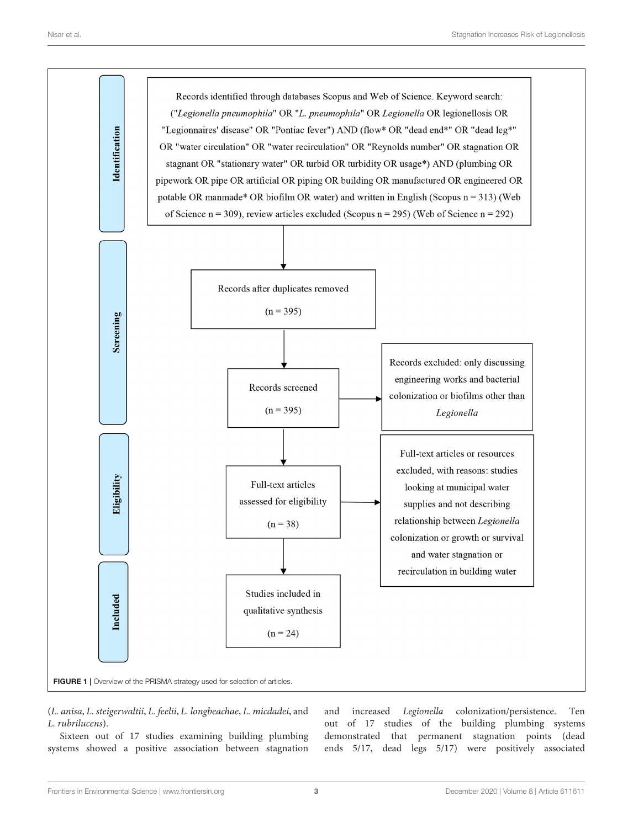

<span id="page-2-0"></span>(L. anisa, L. steigerwaltii, L. feelii, L. longbeachae, L. micdadei, and L. rubrilucens).

Sixteen out of 17 studies examining building plumbing systems showed a positive association between stagnation and increased Legionella colonization/persistence. Ten out of 17 studies of the building plumbing systems demonstrated that permanent stagnation points (dead ends 5/17, dead legs 5/17) were positively associated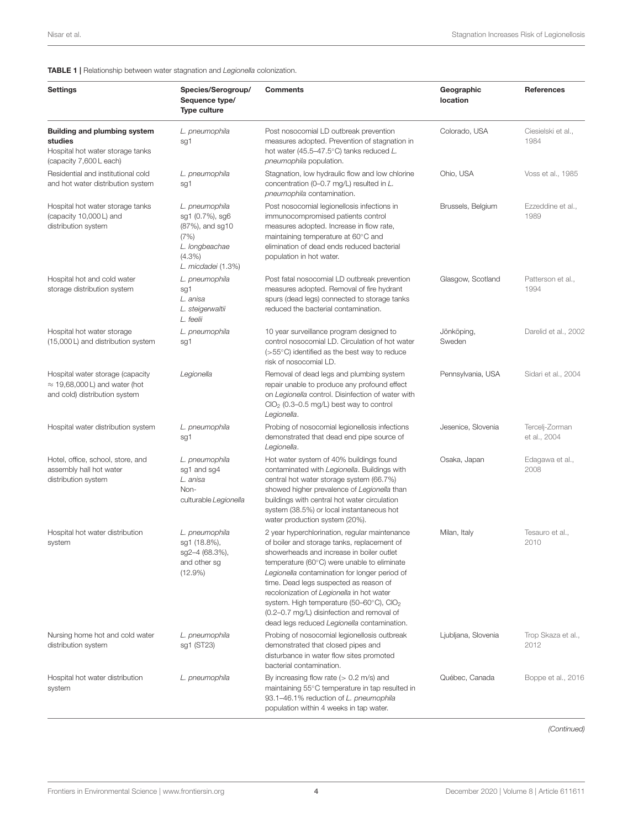### <span id="page-3-0"></span>TABLE 1 | Relationship between water stagnation and *Legionella* colonization.

| <b>Settings</b>                                                                                               | Species/Serogroup/<br>Sequence type/<br><b>Type culture</b>                                                       | <b>Comments</b>                                                                                                                                                                                                                                                                                                                                                                                                                                                                                  | Geographic<br>location | <b>References</b>              |
|---------------------------------------------------------------------------------------------------------------|-------------------------------------------------------------------------------------------------------------------|--------------------------------------------------------------------------------------------------------------------------------------------------------------------------------------------------------------------------------------------------------------------------------------------------------------------------------------------------------------------------------------------------------------------------------------------------------------------------------------------------|------------------------|--------------------------------|
| <b>Building and plumbing system</b><br>studies<br>Hospital hot water storage tanks<br>(capacity 7,600 L each) | L. pneumophila<br>sg1                                                                                             | Post nosocomial LD outbreak prevention<br>measures adopted. Prevention of stagnation in<br>hot water (45.5–47.5 $^{\circ}$ C) tanks reduced L.<br>pneumophila population.                                                                                                                                                                                                                                                                                                                        | Colorado, USA          | Ciesielski et al.,<br>1984     |
| Residential and institutional cold<br>and hot water distribution system                                       | L. pneumophila<br>sg1                                                                                             | Stagnation, low hydraulic flow and low chlorine<br>concentration (0-0.7 mg/L) resulted in L.<br>pneumophila contamination.                                                                                                                                                                                                                                                                                                                                                                       | Ohio, USA              | Voss et al., 1985              |
| Hospital hot water storage tanks<br>(capacity 10,000 L) and<br>distribution system                            | L. pneumophila<br>sg1 (0.7%), sg6<br>(87%), and sg10<br>(7%)<br>L. longbeachae<br>$(4.3\%)$<br>L. micdadei (1.3%) | Post nosocomial legionellosis infections in<br>immunocompromised patients control<br>measures adopted. Increase in flow rate,<br>maintaining temperature at 60°C and<br>elimination of dead ends reduced bacterial<br>population in hot water.                                                                                                                                                                                                                                                   | Brussels, Belgium      | Ezzeddine et al.,<br>1989      |
| Hospital hot and cold water<br>storage distribution system                                                    | L. pneumophila<br>sg1<br>L. anisa<br>L. steigerwaltii<br>L. feelii                                                | Post fatal nosocomial LD outbreak prevention<br>measures adopted. Removal of fire hydrant<br>spurs (dead legs) connected to storage tanks<br>reduced the bacterial contamination.                                                                                                                                                                                                                                                                                                                | Glasgow, Scotland      | Patterson et al.,<br>1994      |
| Hospital hot water storage<br>(15,000 L) and distribution system                                              | L. pneumophila<br>sg1                                                                                             | 10 year surveillance program designed to<br>control nosocomial LD. Circulation of hot water<br>$(>55^{\circ}C)$ identified as the best way to reduce<br>risk of nosocomial LD.                                                                                                                                                                                                                                                                                                                   | Jönköping,<br>Sweden   | Darelid et al., 2002           |
| Hospital water storage (capacity<br>$\approx$ 19,68,000 L) and water (hot<br>and cold) distribution system    | Legionella                                                                                                        | Removal of dead legs and plumbing system<br>repair unable to produce any profound effect<br>on Legionella control. Disinfection of water with<br>$ClO2$ (0.3–0.5 mg/L) best way to control<br>Legionella.                                                                                                                                                                                                                                                                                        | Pennsylvania, USA      | Sidari et al., 2004            |
| Hospital water distribution system                                                                            | L. pneumophila<br>sg1                                                                                             | Probing of nosocomial legionellosis infections<br>demonstrated that dead end pipe source of<br>Legionella.                                                                                                                                                                                                                                                                                                                                                                                       | Jesenice, Slovenia     | Tercelj-Zorman<br>et al., 2004 |
| Hotel, office, school, store, and<br>assembly hall hot water<br>distribution system                           | L. pneumophila<br>sg1 and sg4<br>L. anisa<br>Non-<br>culturable Legionella                                        | Hot water system of 40% buildings found<br>contaminated with Legionella. Buildings with<br>central hot water storage system (66.7%)<br>showed higher prevalence of Legionella than<br>buildings with central hot water circulation<br>system (38.5%) or local instantaneous hot<br>water production system (20%).                                                                                                                                                                                | Osaka, Japan           | Edagawa et al.,<br>2008        |
| Hospital hot water distribution<br>system                                                                     | L. pneumophila<br>sq1 (18.8%),<br>sg2-4 (68.3%),<br>and other sg<br>$(12.9\%)$                                    | 2 year hyperchlorination, regular maintenance<br>of boiler and storage tanks, replacement of<br>showerheads and increase in boiler outlet<br>temperature (60°C) were unable to eliminate<br>Legionella contamination for longer period of<br>time. Dead legs suspected as reason of<br>recolonization of Legionella in hot water<br>system. High temperature (50-60 $^{\circ}$ C), ClO <sub>2</sub><br>(0.2-0.7 mg/L) disinfection and removal of<br>dead legs reduced Legionella contamination. | Milan, Italy           | Tesauro et al.,<br>2010        |
| Nursing home hot and cold water<br>distribution system                                                        | L. pneumophila<br>sg1 (ST23)                                                                                      | Probing of nosocomial legionellosis outbreak<br>demonstrated that closed pipes and<br>disturbance in water flow sites promoted<br>bacterial contamination.                                                                                                                                                                                                                                                                                                                                       | Ljubljana, Slovenia    | Trop Skaza et al.,<br>2012     |
| Hospital hot water distribution<br>system                                                                     | L. pneumophila                                                                                                    | By increasing flow rate $(> 0.2 \text{ m/s})$ and<br>maintaining 55°C temperature in tap resulted in<br>93.1-46.1% reduction of L. pneumophila<br>population within 4 weeks in tap water.                                                                                                                                                                                                                                                                                                        | Québec, Canada         | Boppe et al., 2016             |

*(Continued)*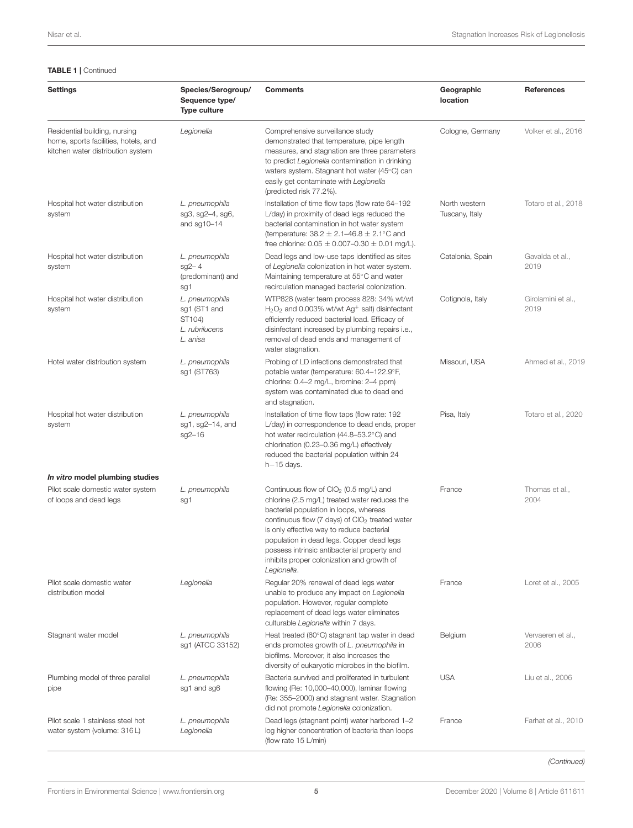#### TABLE 1 | Continued

| <b>Settings</b>                                                                                            | Species/Serogroup/<br>Sequence type/<br><b>Type culture</b>            | <b>Comments</b>                                                                                                                                                                                                                                                                                                                                                                                                    | Geographic<br>location          | References                 |
|------------------------------------------------------------------------------------------------------------|------------------------------------------------------------------------|--------------------------------------------------------------------------------------------------------------------------------------------------------------------------------------------------------------------------------------------------------------------------------------------------------------------------------------------------------------------------------------------------------------------|---------------------------------|----------------------------|
| Residential building, nursing<br>home, sports facilities, hotels, and<br>kitchen water distribution system | Legionella                                                             | Comprehensive surveillance study<br>demonstrated that temperature, pipe length<br>measures, and stagnation are three parameters<br>to predict Legionella contamination in drinking<br>waters system. Stagnant hot water (45°C) can<br>easily get contaminate with Legionella<br>(predicted risk 77.2%).                                                                                                            | Cologne, Germany                | Volker et al., 2016        |
| Hospital hot water distribution<br>system                                                                  | L. pneumophila<br>sg3, sg2-4, sg6,<br>and sg10-14                      | Installation of time flow taps (flow rate 64-192<br>L/day) in proximity of dead legs reduced the<br>bacterial contamination in hot water system<br>(temperature: $38.2 \pm 2.1 - 46.8 \pm 2.1^{\circ}$ C and<br>free chlorine: $0.05 \pm 0.007 - 0.30 \pm 0.01$ mg/L).                                                                                                                                             | North western<br>Tuscany, Italy | Totaro et al., 2018        |
| Hospital hot water distribution<br>system                                                                  | L. pneumophila<br>$sg2 - 4$<br>(predominant) and<br>sg1                | Dead legs and low-use taps identified as sites<br>of Legionella colonization in hot water system.<br>Maintaining temperature at 55°C and water<br>recirculation managed bacterial colonization.                                                                                                                                                                                                                    | Catalonia, Spain                | Gavalda et al.,<br>2019    |
| Hospital hot water distribution<br>system                                                                  | L. pneumophila<br>sq1 (ST1 and<br>ST104)<br>L. rubrilucens<br>L. anisa | WTP828 (water team process 828: 34% wt/wt<br>$H_2O_2$ and 0.003% wt/wt Ag <sup>+</sup> salt) disinfectant<br>efficiently reduced bacterial load. Efficacy of<br>disinfectant increased by plumbing repairs i.e.,<br>removal of dead ends and management of<br>water stagnation.                                                                                                                                    | Cotignola, Italy                | Girolamini et al.,<br>2019 |
| Hotel water distribution system                                                                            | L. pneumophila<br>sg1 (ST763)                                          | Probing of LD infections demonstrated that<br>potable water (temperature: 60.4-122.9°F,<br>chlorine: 0.4-2 mg/L, bromine: 2-4 ppm)<br>system was contaminated due to dead end<br>and stagnation.                                                                                                                                                                                                                   | Missouri, USA                   | Ahmed et al., 2019         |
| Hospital hot water distribution<br>system                                                                  | L. pneumophila<br>sg1, sg2-14, and<br>$sg2 - 16$                       | Installation of time flow taps (flow rate: 192<br>L/day) in correspondence to dead ends, proper<br>hot water recirculation (44.8–53.2°C) and<br>chlorination (0.23-0.36 mg/L) effectively<br>reduced the bacterial population within 24<br>$h-15$ days.                                                                                                                                                            | Pisa, Italy                     | Totaro et al., 2020        |
| In vitro model plumbing studies                                                                            |                                                                        |                                                                                                                                                                                                                                                                                                                                                                                                                    |                                 |                            |
| Pilot scale domestic water system<br>of loops and dead legs                                                | L. pneumophila<br>sg1                                                  | Continuous flow of ClO <sub>2</sub> (0.5 mg/L) and<br>chlorine (2.5 mg/L) treated water reduces the<br>bacterial population in loops, whereas<br>continuous flow (7 days) of CIO <sub>2</sub> treated water<br>is only effective way to reduce bacterial<br>population in dead legs. Copper dead legs<br>possess intrinsic antibacterial property and<br>inhibits proper colonization and growth of<br>Legionella. | France                          | Thomas et al.,<br>2004     |
| Pilot scale domestic water<br>distribution model                                                           | Legionella                                                             | Regular 20% renewal of dead legs water<br>unable to produce any impact on Legionella<br>population. However, regular complete<br>replacement of dead legs water eliminates<br>culturable Legionella within 7 days.                                                                                                                                                                                                 | France                          | Loret et al., 2005         |
| Stagnant water model                                                                                       | L. pneumophila<br>sg1 (ATCC 33152)                                     | Heat treated (60°C) stagnant tap water in dead<br>ends promotes growth of L. pneumophila in<br>biofilms. Moreover, it also increases the<br>diversity of eukaryotic microbes in the biofilm.                                                                                                                                                                                                                       | Belgium                         | Vervaeren et al.,<br>2006  |
| Plumbing model of three parallel<br>pipe                                                                   | L. pneumophila<br>sg1 and sg6                                          | Bacteria survived and proliferated in turbulent<br>flowing (Re: 10,000–40,000), laminar flowing<br>(Re: 355–2000) and stagnant water. Stagnation<br>did not promote Legionella colonization.                                                                                                                                                                                                                       | <b>USA</b>                      | Liu et al., 2006           |
| Pilot scale 1 stainless steel hot<br>water system (volume: 316L)                                           | L. pneumophila<br>Legionella                                           | Dead legs (stagnant point) water harbored 1-2<br>log higher concentration of bacteria than loops<br>(flow rate 15 L/min)                                                                                                                                                                                                                                                                                           | France                          | Farhat et al., 2010        |

*(Continued)*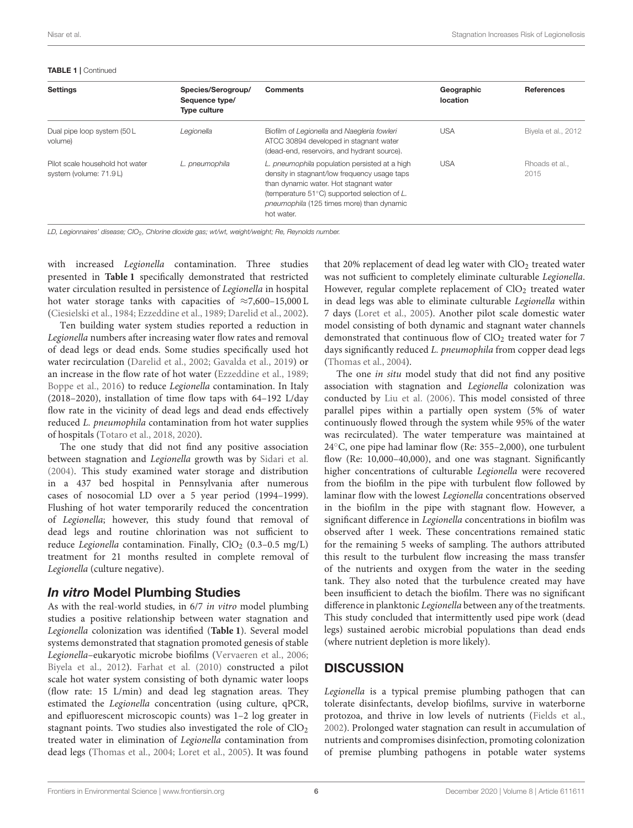TABLE 1 | Continued

| <b>Settings</b>                                           | Species/Serogroup/<br>Sequence type/<br><b>Type culture</b> | <b>Comments</b>                                                                                                                                                                                                                                              | Geographic<br>location | <b>References</b>    |
|-----------------------------------------------------------|-------------------------------------------------------------|--------------------------------------------------------------------------------------------------------------------------------------------------------------------------------------------------------------------------------------------------------------|------------------------|----------------------|
| Dual pipe loop system (50 L<br>volume)                    | Legionella                                                  | Biofilm of Legionella and Naegleria fowleri<br>ATCC 30894 developed in stagnant water<br>(dead-end, reservoirs, and hydrant source).                                                                                                                         | <b>USA</b>             | Biyela et al., 2012  |
| Pilot scale household hot water<br>system (volume: 71.9L) | L. pneumophila                                              | L. pneumophila population persisted at a high<br>density in stagnant/low frequency usage taps<br>than dynamic water. Hot stagnant water<br>(temperature $51^{\circ}$ C) supported selection of L.<br>pneumophila (125 times more) than dynamic<br>hot water. | <b>USA</b>             | Rhoads et al<br>2015 |

*LD, Legionnaires' disease; ClO*2*, Chlorine dioxide gas; wt/wt, weight/weight; Re, Reynolds number.*

with increased Legionella contamination. Three studies presented in **[Table 1](#page-3-0)** specifically demonstrated that restricted water circulation resulted in persistence of Legionella in hospital hot water storage tanks with capacities of  $\approx 7,600-15,000 \text{ L}$ [\(Ciesielski et al., 1984;](#page-10-7) [Ezzeddine et al., 1989;](#page-10-8) [Darelid et al., 2002\)](#page-10-9).

Ten building water system studies reported a reduction in Legionella numbers after increasing water flow rates and removal of dead legs or dead ends. Some studies specifically used hot water recirculation [\(Darelid et al., 2002;](#page-10-9) [Gavalda et al., 2019\)](#page-11-5) or an increase in the flow rate of hot water [\(Ezzeddine et al., 1989;](#page-10-8) [Boppe et al., 2016\)](#page-10-11) to reduce Legionella contamination. In Italy (2018–2020), installation of time flow taps with 64–192 L/day flow rate in the vicinity of dead legs and dead ends effectively reduced L. pneumophila contamination from hot water supplies of hospitals [\(Totaro et al., 2018,](#page-12-8) [2020\)](#page-12-9).

The one study that did not find any positive association between stagnation and Legionella growth was by [Sidari et al.](#page-12-3) [\(2004\)](#page-12-3). This study examined water storage and distribution in a 437 bed hospital in Pennsylvania after numerous cases of nosocomial LD over a 5 year period (1994–1999). Flushing of hot water temporarily reduced the concentration of Legionella; however, this study found that removal of dead legs and routine chlorination was not sufficient to reduce Legionella contamination. Finally,  $ClO<sub>2</sub>$  (0.3-0.5 mg/L) treatment for 21 months resulted in complete removal of Legionella (culture negative).

# In vitro Model Plumbing Studies

As with the real-world studies, in 6/7 in vitro model plumbing studies a positive relationship between water stagnation and Legionella colonization was identified (**[Table 1](#page-3-0)**). Several model systems demonstrated that stagnation promoted genesis of stable Legionella–eukaryotic microbe biofilms [\(Vervaeren et al., 2006;](#page-12-10) [Biyela et al., 2012\)](#page-10-12). [Farhat et al. \(2010\)](#page-11-9) constructed a pilot scale hot water system consisting of both dynamic water loops (flow rate: 15 L/min) and dead leg stagnation areas. They estimated the Legionella concentration (using culture, qPCR, and epifluorescent microscopic counts) was 1–2 log greater in stagnant points. Two studies also investigated the role of  $ClO<sub>2</sub>$ treated water in elimination of Legionella contamination from dead legs [\(Thomas et al., 2004;](#page-12-1) [Loret et al., 2005\)](#page-11-7). It was found

that 20% replacement of dead leg water with  $ClO<sub>2</sub>$  treated water was not sufficient to completely eliminate culturable Legionella. However, regular complete replacement of  $ClO<sub>2</sub>$  treated water in dead legs was able to eliminate culturable Legionella within 7 days [\(Loret et al., 2005\)](#page-11-7). Another pilot scale domestic water model consisting of both dynamic and stagnant water channels demonstrated that continuous flow of ClO<sub>2</sub> treated water for 7 days significantly reduced L. pneumophila from copper dead legs [\(Thomas et al., 2004\)](#page-12-1).

The one *in situ* model study that did not find any positive association with stagnation and Legionella colonization was conducted by [Liu et al. \(2006\)](#page-11-8). This model consisted of three parallel pipes within a partially open system (5% of water continuously flowed through the system while 95% of the water was recirculated). The water temperature was maintained at 24◦C, one pipe had laminar flow (Re: 355–2,000), one turbulent flow (Re: 10,000–40,000), and one was stagnant. Significantly higher concentrations of culturable Legionella were recovered from the biofilm in the pipe with turbulent flow followed by laminar flow with the lowest Legionella concentrations observed in the biofilm in the pipe with stagnant flow. However, a significant difference in Legionella concentrations in biofilm was observed after 1 week. These concentrations remained static for the remaining 5 weeks of sampling. The authors attributed this result to the turbulent flow increasing the mass transfer of the nutrients and oxygen from the water in the seeding tank. They also noted that the turbulence created may have been insufficient to detach the biofilm. There was no significant difference in planktonic Legionella between any of the treatments. This study concluded that intermittently used pipe work (dead legs) sustained aerobic microbial populations than dead ends (where nutrient depletion is more likely).

# **DISCUSSION**

Legionella is a typical premise plumbing pathogen that can tolerate disinfectants, develop biofilms, survive in waterborne protozoa, and thrive in low levels of nutrients [\(Fields et al.,](#page-11-0) [2002\)](#page-11-0). Prolonged water stagnation can result in accumulation of nutrients and compromises disinfection, promoting colonization of premise plumbing pathogens in potable water systems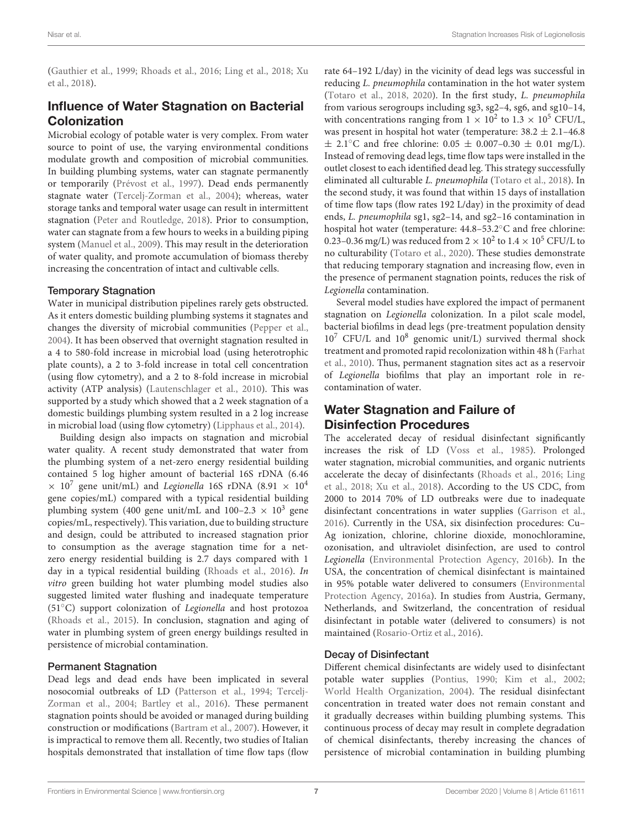[\(Gauthier et al., 1999;](#page-11-10) [Rhoads et al., 2016;](#page-12-12) [Ling et al., 2018;](#page-11-3) Xu et al., [2018\)](#page-12-13).

# Influence of Water Stagnation on Bacterial Colonization

Microbial ecology of potable water is very complex. From water source to point of use, the varying environmental conditions modulate growth and composition of microbial communities. In building plumbing systems, water can stagnate permanently or temporarily [\(Prévost et al., 1997\)](#page-12-14). Dead ends permanently stagnate water [\(Tercelj-Zorman et al., 2004\)](#page-12-4); whereas, water storage tanks and temporal water usage can result in intermittent stagnation [\(Peter and Routledge, 2018\)](#page-11-11). Prior to consumption, water can stagnate from a few hours to weeks in a building piping system [\(Manuel et al., 2009\)](#page-11-12). This may result in the deterioration of water quality, and promote accumulation of biomass thereby increasing the concentration of intact and cultivable cells.

#### Temporary Stagnation

Water in municipal distribution pipelines rarely gets obstructed. As it enters domestic building plumbing systems it stagnates and changes the diversity of microbial communities [\(Pepper et al.,](#page-11-13) [2004\)](#page-11-13). It has been observed that overnight stagnation resulted in a 4 to 580-fold increase in microbial load (using heterotrophic plate counts), a 2 to 3-fold increase in total cell concentration (using flow cytometry), and a 2 to 8-fold increase in microbial activity (ATP analysis) [\(Lautenschlager et al., 2010\)](#page-11-14). This was supported by a study which showed that a 2 week stagnation of a domestic buildings plumbing system resulted in a 2 log increase in microbial load (using flow cytometry) [\(Lipphaus et al., 2014\)](#page-11-15).

Building design also impacts on stagnation and microbial water quality. A recent study demonstrated that water from the plumbing system of a net-zero energy residential building contained 5 log higher amount of bacterial 16S rDNA (6.46  $\times$  10<sup>7</sup> gene unit/mL) and *Legionella* 16S rDNA (8.91  $\times$  10<sup>4</sup> gene copies/mL) compared with a typical residential building plumbing system (400 gene unit/mL and 100–2.3  $\times$  10<sup>3</sup> gene copies/mL, respectively). This variation, due to building structure and design, could be attributed to increased stagnation prior to consumption as the average stagnation time for a netzero energy residential building is 2.7 days compared with 1 day in a typical residential building [\(Rhoads et al., 2016\)](#page-12-12). In vitro green building hot water plumbing model studies also suggested limited water flushing and inadequate temperature (51◦C) support colonization of Legionella and host protozoa [\(Rhoads et al., 2015\)](#page-12-11). In conclusion, stagnation and aging of water in plumbing system of green energy buildings resulted in persistence of microbial contamination.

#### Permanent Stagnation

Dead legs and dead ends have been implicated in several nosocomial outbreaks of LD [\(Patterson et al., 1994;](#page-11-4) Tercelj-Zorman et al., [2004;](#page-12-4) [Bartley et al., 2016\)](#page-10-13). These permanent stagnation points should be avoided or managed during building construction or modifications [\(Bartram et al., 2007\)](#page-10-1). However, it is impractical to remove them all. Recently, two studies of Italian hospitals demonstrated that installation of time flow taps (flow rate 64–192 L/day) in the vicinity of dead legs was successful in reducing L. pneumophila contamination in the hot water system [\(Totaro et al., 2018,](#page-12-8) [2020\)](#page-12-9). In the first study, L. pneumophila from various serogroups including sg3, sg2–4, sg6, and sg10–14, with concentrations ranging from  $1 \times 10^2$  to  $1.3 \times 10^5$  CFU/L, was present in hospital hot water (temperature:  $38.2 \pm 2.1 - 46.8$ )  $\pm$  2.1°C and free chlorine: 0.05  $\pm$  0.007–0.30  $\pm$  0.01 mg/L). Instead of removing dead legs, time flow taps were installed in the outlet closest to each identified dead leg. This strategy successfully eliminated all culturable L. pneumophila [\(Totaro et al., 2018\)](#page-12-8). In the second study, it was found that within 15 days of installation of time flow taps (flow rates 192 L/day) in the proximity of dead ends, L. pneumophila sg1, sg2–14, and sg2–16 contamination in hospital hot water (temperature: 44.8–53.2◦C and free chlorine: 0.23–0.36 mg/L) was reduced from 2  $\times$   $10^2$  to 1.4  $\times$   $10^5$  CFU/L to no culturability [\(Totaro et al., 2020\)](#page-12-9). These studies demonstrate that reducing temporary stagnation and increasing flow, even in the presence of permanent stagnation points, reduces the risk of Legionella contamination.

Several model studies have explored the impact of permanent stagnation on Legionella colonization. In a pilot scale model, bacterial biofilms in dead legs (pre-treatment population density 10<sup>7</sup> CFU/L and 10<sup>8</sup> genomic unit/L) survived thermal shock treatment and promoted rapid recolonization within 48 h (Farhat et al., [2010\)](#page-11-9). Thus, permanent stagnation sites act as a reservoir of Legionella biofilms that play an important role in recontamination of water.

# Water Stagnation and Failure of Disinfection Procedures

The accelerated decay of residual disinfectant significantly increases the risk of LD [\(Voss et al., 1985\)](#page-12-2). Prolonged water stagnation, microbial communities, and organic nutrients accelerate the decay of disinfectants [\(Rhoads et al., 2016;](#page-12-12) Ling et al., [2018;](#page-11-3) [Xu et al., 2018\)](#page-12-13). According to the US CDC, from 2000 to 2014 70% of LD outbreaks were due to inadequate disinfectant concentrations in water supplies [\(Garrison et al.,](#page-11-16) [2016\)](#page-11-16). Currently in the USA, six disinfection procedures: Cu– Ag ionization, chlorine, chlorine dioxide, monochloramine, ozonisation, and ultraviolet disinfection, are used to control Legionella [\(Environmental Protection Agency, 2016b\)](#page-10-14). In the USA, the concentration of chemical disinfectant is maintained in 95% potable water delivered to consumers (Environmental Protection Agency, [2016a\)](#page-10-15). In studies from Austria, Germany, Netherlands, and Switzerland, the concentration of residual disinfectant in potable water (delivered to consumers) is not maintained [\(Rosario-Ortiz et al., 2016\)](#page-12-15).

#### Decay of Disinfectant

Different chemical disinfectants are widely used to disinfectant potable water supplies [\(Pontius, 1990;](#page-11-17) [Kim et al., 2002;](#page-11-18) [World Health Organization, 2004\)](#page-12-16). The residual disinfectant concentration in treated water does not remain constant and it gradually decreases within building plumbing systems. This continuous process of decay may result in complete degradation of chemical disinfectants, thereby increasing the chances of persistence of microbial contamination in building plumbing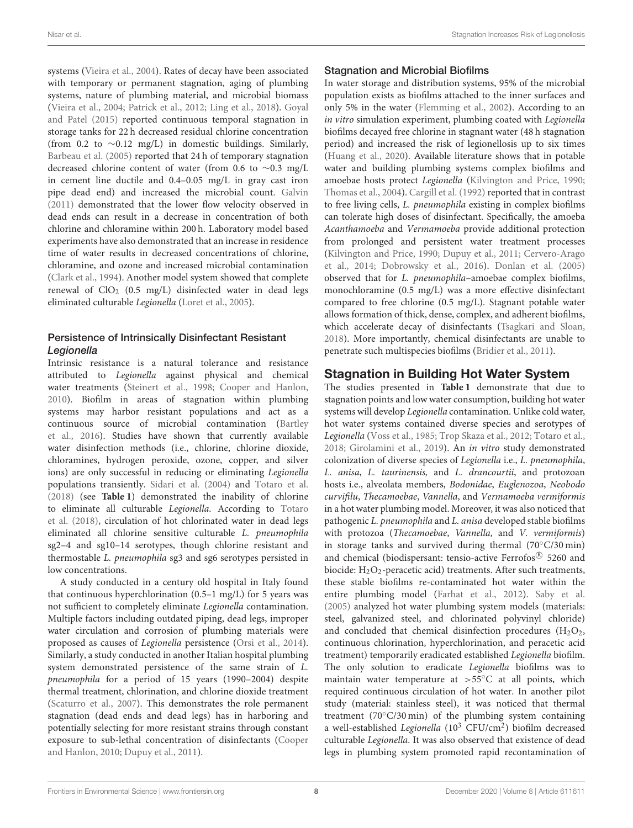systems [\(Vieira et al., 2004\)](#page-12-17). Rates of decay have been associated with temporary or permanent stagnation, aging of plumbing systems, nature of plumbing material, and microbial biomass [\(Vieira et al., 2004;](#page-12-17) [Patrick et al., 2012;](#page-11-19) [Ling et al., 2018\)](#page-11-3). Goyal and Patel [\(2015\)](#page-11-20) reported continuous temporal stagnation in storage tanks for 22 h decreased residual chlorine concentration (from 0.2 to ∼0.12 mg/L) in domestic buildings. Similarly, [Barbeau et al. \(2005\)](#page-10-16) reported that 24 h of temporary stagnation decreased chlorine content of water (from 0.6 to ∼0.3 mg/L in cement line ductile and 0.4–0.05 mg/L in gray cast iron pipe dead end) and increased the microbial count. [Galvin](#page-11-21) [\(2011\)](#page-11-21) demonstrated that the lower flow velocity observed in dead ends can result in a decrease in concentration of both chlorine and chloramine within 200 h. Laboratory model based experiments have also demonstrated that an increase in residence time of water results in decreased concentrations of chlorine, chloramine, and ozone and increased microbial contamination [\(Clark et al., 1994\)](#page-10-17). Another model system showed that complete renewal of  $ClO<sub>2</sub>$  (0.5 mg/L) disinfected water in dead legs eliminated culturable Legionella [\(Loret et al., 2005\)](#page-11-7).

### Persistence of Intrinsically Disinfectant Resistant **Legionella**

Intrinsic resistance is a natural tolerance and resistance attributed to Legionella against physical and chemical water treatments [\(Steinert et al., 1998;](#page-12-18) [Cooper and Hanlon,](#page-10-18) [2010\)](#page-10-18). Biofilm in areas of stagnation within plumbing systems may harbor resistant populations and act as a continuous source of microbial contamination (Bartley et al., [2016\)](#page-10-13). Studies have shown that currently available water disinfection methods (i.e., chlorine, chlorine dioxide, chloramines, hydrogen peroxide, ozone, copper, and silver ions) are only successful in reducing or eliminating Legionella populations transiently. [Sidari et al. \(2004\)](#page-12-3) and [Totaro et al.](#page-12-8) [\(2018\)](#page-12-8) (see **[Table 1](#page-3-0)**) demonstrated the inability of chlorine to eliminate all culturable Legionella. According to Totaro et al. [\(2018\)](#page-12-8), circulation of hot chlorinated water in dead legs eliminated all chlorine sensitive culturable L. pneumophila sg2–4 and sg10–14 serotypes, though chlorine resistant and thermostable L. pneumophila sg3 and sg6 serotypes persisted in low concentrations.

A study conducted in a century old hospital in Italy found that continuous hyperchlorination (0.5–1 mg/L) for 5 years was not sufficient to completely eliminate Legionella contamination. Multiple factors including outdated piping, dead legs, improper water circulation and corrosion of plumbing materials were proposed as causes of Legionella persistence [\(Orsi et al., 2014\)](#page-11-22). Similarly, a study conducted in another Italian hospital plumbing system demonstrated persistence of the same strain of L. pneumophila for a period of 15 years (1990–2004) despite thermal treatment, chlorination, and chlorine dioxide treatment [\(Scaturro et al., 2007\)](#page-12-19). This demonstrates the role permanent stagnation (dead ends and dead legs) has in harboring and potentially selecting for more resistant strains through constant exposure to sub-lethal concentration of disinfectants (Cooper and Hanlon, [2010;](#page-10-18) [Dupuy et al., 2011\)](#page-10-6).

### Stagnation and Microbial Biofilms

In water storage and distribution systems, 95% of the microbial population exists as biofilms attached to the inner surfaces and only 5% in the water [\(Flemming et al., 2002\)](#page-11-23). According to an in vitro simulation experiment, plumbing coated with Legionella biofilms decayed free chlorine in stagnant water (48 h stagnation period) and increased the risk of legionellosis up to six times [\(Huang et al., 2020\)](#page-11-24). Available literature shows that in potable water and building plumbing systems complex biofilms and amoebae hosts protect Legionella [\(Kilvington and Price, 1990;](#page-11-25) [Thomas et al., 2004\)](#page-12-1). [Cargill et al. \(1992\)](#page-10-19) reported that in contrast to free living cells, L. pneumophila existing in complex biofilms can tolerate high doses of disinfectant. Specifically, the amoeba Acanthamoeba and Vermamoeba provide additional protection from prolonged and persistent water treatment processes [\(Kilvington and Price, 1990;](#page-11-25) [Dupuy et al., 2011;](#page-10-6) Cervero-Arago et al., [2014;](#page-10-20) [Dobrowsky et al., 2016\)](#page-10-21). [Donlan et al. \(2005\)](#page-10-22) observed that for L. pneumophila–amoebae complex biofilms, monochloramine (0.5 mg/L) was a more effective disinfectant compared to free chlorine (0.5 mg/L). Stagnant potable water allows formation of thick, dense, complex, and adherent biofilms, which accelerate decay of disinfectants [\(Tsagkari and Sloan,](#page-12-20) [2018\)](#page-12-20). More importantly, chemical disinfectants are unable to penetrate such multispecies biofilms [\(Bridier et al., 2011\)](#page-10-23).

# Stagnation in Building Hot Water System

The studies presented in **[Table 1](#page-3-0)** demonstrate that due to stagnation points and low water consumption, building hot water systems will develop Legionella contamination. Unlike cold water, hot water systems contained diverse species and serotypes of Legionella [\(Voss et al., 1985;](#page-12-2) [Trop Skaza et al., 2012;](#page-12-6) [Totaro et al.,](#page-12-8) [2018;](#page-12-8) [Girolamini et al., 2019\)](#page-11-6). An in vitro study demonstrated colonization of diverse species of Legionella i.e., L. pneumophila, L. anisa, L. taurinensis, and L. drancourtii, and protozoan hosts i.e., alveolata members, Bodonidae, Euglenozoa, Neobodo curvifilu, Thecamoebae, Vannella, and Vermamoeba vermiformis in a hot water plumbing model. Moreover, it was also noticed that pathogenic L. pneumophila and L. anisa developed stable biofilms with protozoa (Thecamoebae, Vannella, and V. vermiformis) in storage tanks and survived during thermal (70◦C/30 min) and chemical (biodispersant: tensio-active Ferrofos® 5260 and biocide:  $H_2O_2$ -peracetic acid) treatments. After such treatments, these stable biofilms re-contaminated hot water within the entire plumbing model [\(Farhat et al., 2012\)](#page-10-24). [Saby et al.](#page-12-21) [\(2005\)](#page-12-21) analyzed hot water plumbing system models (materials: steel, galvanized steel, and chlorinated polyvinyl chloride) and concluded that chemical disinfection procedures  $(H_2O_2,$ continuous chlorination, hyperchlorination, and peracetic acid treatment) temporarily eradicated established Legionella biofilm. The only solution to eradicate Legionella biofilms was to maintain water temperature at >55◦C at all points, which required continuous circulation of hot water. In another pilot study (material: stainless steel), it was noticed that thermal treatment (70°C/30 min) of the plumbing system containing a well-established Legionella  $(10^3 \text{ CFU/cm}^2)$  biofilm decreased culturable Legionella. It was also observed that existence of dead legs in plumbing system promoted rapid recontamination of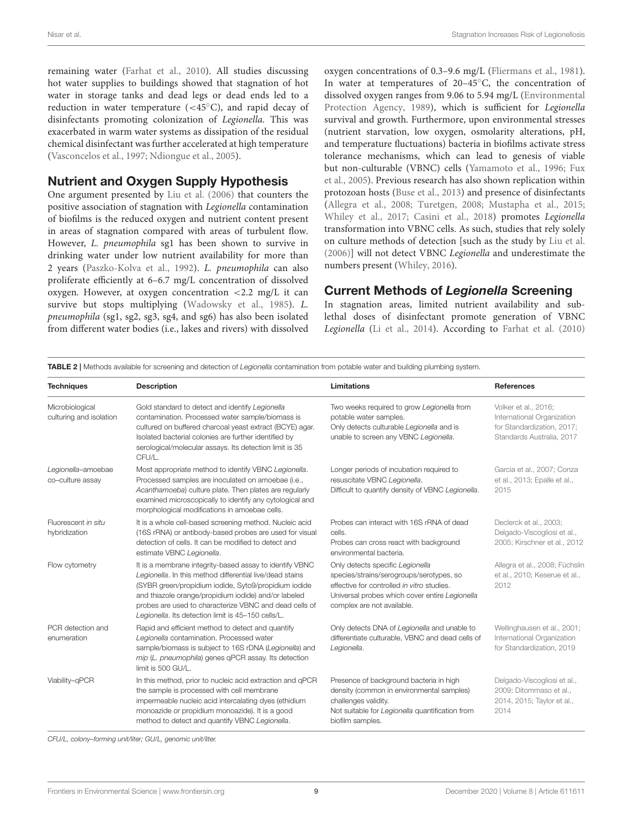remaining water [\(Farhat et al., 2010\)](#page-11-9). All studies discussing hot water supplies to buildings showed that stagnation of hot water in storage tanks and dead legs or dead ends led to a reduction in water temperature  $( $45^{\circ}$ C)$ , and rapid decay of disinfectants promoting colonization of Legionella. This was exacerbated in warm water systems as dissipation of the residual chemical disinfectant was further accelerated at high temperature [\(Vasconcelos et al., 1997;](#page-12-22) [Ndiongue et al., 2005\)](#page-11-26).

# Nutrient and Oxygen Supply Hypothesis

One argument presented by [Liu et al. \(2006\)](#page-11-8) that counters the positive association of stagnation with Legionella contamination of biofilms is the reduced oxygen and nutrient content present in areas of stagnation compared with areas of turbulent flow. However, L. pneumophila sg1 has been shown to survive in drinking water under low nutrient availability for more than 2 years [\(Paszko-Kolva et al., 1992\)](#page-11-27). L. pneumophila can also proliferate efficiently at 6–6.7 mg/L concentration of dissolved oxygen. However, at oxygen concentration <2.2 mg/L it can survive but stops multiplying [\(Wadowsky et al., 1985\)](#page-12-23). L. pneumophila (sg1, sg2, sg3, sg4, and sg6) has also been isolated from different water bodies (i.e., lakes and rivers) with dissolved oxygen concentrations of 0.3–9.6 mg/L [\(Fliermans et al., 1981\)](#page-11-28). In water at temperatures of 20–45◦C, the concentration of dissolved oxygen ranges from 9.06 to 5.94 mg/L (Environmental Protection Agency, [1989\)](#page-10-25), which is sufficient for Legionella survival and growth. Furthermore, upon environmental stresses (nutrient starvation, low oxygen, osmolarity alterations, pH, and temperature fluctuations) bacteria in biofilms activate stress tolerance mechanisms, which can lead to genesis of viable but non-culturable (VBNC) cells [\(Yamamoto et al., 1996;](#page-12-24) Fux et al., [2005\)](#page-11-29). Previous research has also shown replication within protozoan hosts [\(Buse et al., 2013\)](#page-10-26) and presence of disinfectants [\(Allegra et al., 2008;](#page-9-1) [Turetgen, 2008;](#page-12-25) [Mustapha et al., 2015;](#page-11-30) [Whiley et al., 2017;](#page-12-26) [Casini et al., 2018\)](#page-10-27) promotes Legionella transformation into VBNC cells. As such, studies that rely solely on culture methods of detection [such as the study by [Liu et al.](#page-11-8) [\(2006\)](#page-11-8)] will not detect VBNC Legionella and underestimate the numbers present [\(Whiley, 2016\)](#page-12-27).

# Current Methods of Legionella Screening

In stagnation areas, limited nutrient availability and sublethal doses of disinfectant promote generation of VBNC Legionella [\(Li et al., 2014\)](#page-11-31). According to [Farhat et al. \(2010\)](#page-11-9)

<span id="page-8-0"></span>TABLE 2 | Methods available for screening and detection of *Legionella* contamination from potable water and building plumbing system.

| <b>Techniques</b>                          | <b>Description</b>                                                                                                                                                                                                                                                                                                                                  | <b>Limitations</b>                                                                                                                                                                                         | <b>References</b>                                                                                             |
|--------------------------------------------|-----------------------------------------------------------------------------------------------------------------------------------------------------------------------------------------------------------------------------------------------------------------------------------------------------------------------------------------------------|------------------------------------------------------------------------------------------------------------------------------------------------------------------------------------------------------------|---------------------------------------------------------------------------------------------------------------|
| Microbiological<br>culturing and isolation | Gold standard to detect and identify Legionella<br>contamination. Processed water sample/biomass is<br>cultured on buffered charcoal yeast extract (BCYE) agar.<br>Isolated bacterial colonies are further identified by<br>serological/molecular assays. Its detection limit is 35<br>CFU/L.                                                       | Two weeks required to grow Legionella from<br>potable water samples.<br>Only detects culturable Legionella and is<br>unable to screen any VBNC Legionella.                                                 | Volker et al., 2016;<br>International Organization<br>for Standardization, 2017;<br>Standards Australia, 2017 |
| Legionella-amoebae<br>co-culture assay     | Most appropriate method to identify VBNC Legionella.<br>Processed samples are inoculated on amoebae (i.e.,<br>Acanthamoeba) culture plate. Then plates are regularly<br>examined microscopically to identify any cytological and<br>morphological modifications in amoebae cells.                                                                   | Longer periods of incubation required to<br>resuscitate VBNC Legionella.<br>Difficult to quantify density of VBNC Legionella.                                                                              | Garcia et al., 2007; Conza<br>et al., 2013; Epalle et al.,<br>2015                                            |
| Fluorescent in situ<br>hybridization       | It is a whole cell-based screening method. Nucleic acid<br>(16S rRNA) or antibody-based probes are used for visual<br>detection of cells. It can be modified to detect and<br>estimate VBNC Legionella.                                                                                                                                             | Probes can interact with 16S rRNA of dead<br>cells.<br>Probes can cross react with background<br>environmental bacteria.                                                                                   | Declerck et al., 2003;<br>Delgado-Viscogliosi et al.,<br>2005; Kirschner et al., 2012                         |
| Flow cytometry                             | It is a membrane integrity-based assay to identify VBNC<br>Legionella. In this method differential live/dead stains<br>(SYBR green/propidium iodide, Syto9/propidium iodide<br>and thiazole orange/propidium iodide) and/or labeled<br>probes are used to characterize VBNC and dead cells of<br>Legionella. Its detection limit is 45-150 cells/L. | Only detects specific Legionella<br>species/strains/serogroups/serotypes, so<br>effective for controlled in vitro studies.<br>Universal probes which cover entire Legionella<br>complex are not available. | Allegra et al., 2008; Füchslin<br>et al., 2010; Keserue et al.,<br>2012                                       |
| PCR detection and<br>enumeration           | Rapid and efficient method to detect and quantify<br>Legionella contamination. Processed water<br>sample/biomass is subject to 16S rDNA (Legionella) and<br>mip (L. pneumophila) genes qPCR assay. Its detection<br>limit is 500 GU/L.                                                                                                              | Only detects DNA of Legionella and unable to<br>differentiate culturable, VBNC and dead cells of<br>Legionella.                                                                                            | Wellinghausen et al., 2001;<br>International Organization<br>for Standardization, 2019                        |
| Viability-qPCR                             | In this method, prior to nucleic acid extraction and qPCR<br>the sample is processed with cell membrane<br>impermeable nucleic acid intercalating dyes (ethidium<br>monoazide or propidium monoazide). It is a good<br>method to detect and quantify VBNC Legionella.                                                                               | Presence of background bacteria in high<br>density (common in environmental samples)<br>challenges validity.<br>Not suitable for Legionella quantification from<br>biofilm samples.                        | Delgado-Viscogliosi et al.,<br>2009; Ditommaso et al.,<br>2014, 2015; Taylor et al.,<br>2014                  |

*CFU/L, colony–forming unit/liter; GU/L, genomic unit/liter.*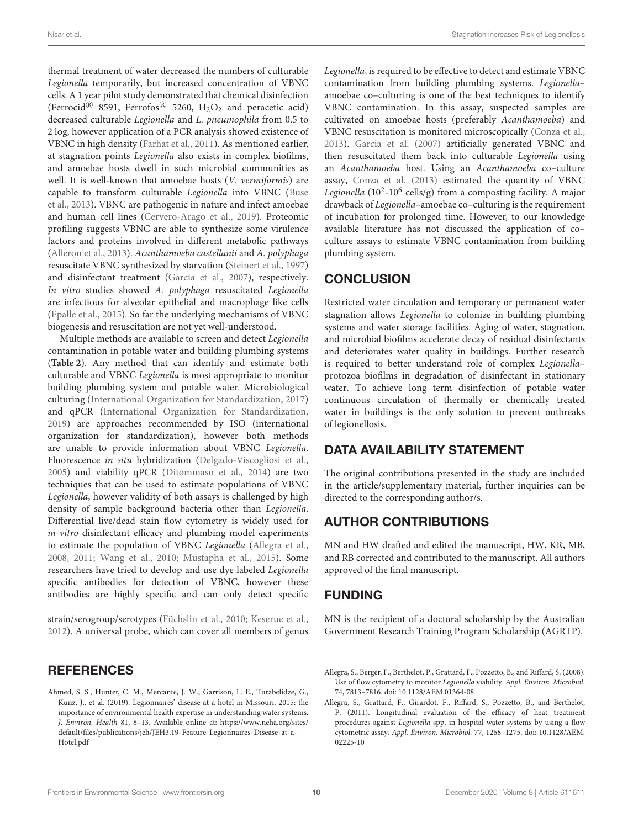thermal treatment of water decreased the numbers of culturable Legionella temporarily, but increased concentration of VBNC cells. A 1 year pilot study demonstrated that chemical disinfection (Ferrocid<sup>®</sup> 8591, Ferrofos<sup>®</sup> 5260, H<sub>2</sub>O<sub>2</sub> and peracetic acid) decreased culturable Legionella and L. pneumophila from 0.5 to 2 log, however application of a PCR analysis showed existence of VBNC in high density [\(Farhat et al., 2011\)](#page-11-38). As mentioned earlier, at stagnation points Legionella also exists in complex biofilms, and amoebae hosts dwell in such microbial communities as well. It is well-known that amoebae hosts (V. vermiformis) are capable to transform culturable Legionella into VBNC (Buse et al., [2013\)](#page-10-26). VBNC are pathogenic in nature and infect amoebae and human cell lines [\(Cervero-Arago et al., 2019\)](#page-10-35). Proteomic profiling suggests VBNC are able to synthesize some virulence factors and proteins involved in different metabolic pathways [\(Alleron et al., 2013\)](#page-10-36). Acanthamoeba castellanii and A. polyphaga resuscitate VBNC synthesized by starvation [\(Steinert et al., 1997\)](#page-12-31) and disinfectant treatment [\(Garcia et al., 2007\)](#page-11-33), respectively. In vitro studies showed A. polyphaga resuscitated Legionella are infectious for alveolar epithelial and macrophage like cells [\(Epalle et al., 2015\)](#page-10-29). So far the underlying mechanisms of VBNC biogenesis and resuscitation are not yet well-understood.

Multiple methods are available to screen and detect Legionella contamination in potable water and building plumbing systems (**[Table 2](#page-8-0)**). Any method that can identify and estimate both culturable and VBNC Legionella is most appropriate to monitor building plumbing system and potable water. Microbiological culturing [\(International Organization for Standardization, 2017\)](#page-11-32) and qPCR [\(International Organization for Standardization,](#page-11-37) [2019\)](#page-11-37) are approaches recommended by ISO (international organization for standardization), however both methods are unable to provide information about VBNC Legionella. Fluorescence in situ hybridization [\(Delgado-Viscogliosi et al.,](#page-10-31) [2005\)](#page-10-31) and viability qPCR [\(Ditommaso et al., 2014\)](#page-10-33) are two techniques that can be used to estimate populations of VBNC Legionella, however validity of both assays is challenged by high density of sample background bacteria other than Legionella. Differential live/dead stain flow cytometry is widely used for in vitro disinfectant efficacy and plumbing model experiments to estimate the population of VBNC Legionella [\(Allegra et al.,](#page-9-1) [2008,](#page-9-1) [2011;](#page-9-2) [Wang et al., 2010;](#page-12-32) [Mustapha et al., 2015\)](#page-11-30). Some researchers have tried to develop and use dye labeled Legionella specific antibodies for detection of VBNC, however these antibodies are highly specific and can only detect specific

strain/serogroup/serotypes [\(Füchslin et al., 2010;](#page-11-35) [Keserue et al.,](#page-11-36) [2012\)](#page-11-36). A universal probe, which can cover all members of genus

# REFERENCES

<span id="page-9-0"></span>Ahmed, S. S., Hunter, C. M., Mercante, J. W., Garrison, L. E., Turabelidze, G., Kunz, J., et al. (2019). Legionnaires' disease at a hotel in Missouri, 2015: the importance of environmental health expertise in understanding water systems. J. Environ. Health 81, 8–13. Available online at: [https://www.neha.org/sites/](https://www.neha.org/sites/default/files/publications/jeh/JEH3.19-Feature-Legionnaires-Disease-at-a-Hotel.pdf) [default/files/publications/jeh/JEH3.19-Feature-Legionnaires-Disease-at-a-](https://www.neha.org/sites/default/files/publications/jeh/JEH3.19-Feature-Legionnaires-Disease-at-a-Hotel.pdf)[Hotel.pdf](https://www.neha.org/sites/default/files/publications/jeh/JEH3.19-Feature-Legionnaires-Disease-at-a-Hotel.pdf)

Legionella, is required to be effective to detect and estimate VBNC contamination from building plumbing systems. Legionella– amoebae co–culturing is one of the best techniques to identify VBNC contamination. In this assay, suspected samples are cultivated on amoebae hosts (preferably Acanthamoeba) and VBNC resuscitation is monitored microscopically [\(Conza et al.,](#page-10-28) [2013\)](#page-10-28). [Garcia et al. \(2007\)](#page-11-33) artificially generated VBNC and then resuscitated them back into culturable Legionella using an Acanthamoeba host. Using an Acanthamoeba co–culture assay, [Conza et al. \(2013\)](#page-10-28) estimated the quantity of VBNC Legionella ( $10^2$ - $10^6$  cells/g) from a composting facility. A major drawback of Legionella–amoebae co–culturing is the requirement of incubation for prolonged time. However, to our knowledge available literature has not discussed the application of co– culture assays to estimate VBNC contamination from building plumbing system.

# **CONCLUSION**

Restricted water circulation and temporary or permanent water stagnation allows Legionella to colonize in building plumbing systems and water storage facilities. Aging of water, stagnation, and microbial biofilms accelerate decay of residual disinfectants and deteriorates water quality in buildings. Further research is required to better understand role of complex Legionella– protozoa biofilms in degradation of disinfectant in stationary water. To achieve long term disinfection of potable water continuous circulation of thermally or chemically treated water in buildings is the only solution to prevent outbreaks of legionellosis.

# DATA AVAILABILITY STATEMENT

The original contributions presented in the study are included in the article/supplementary material, further inquiries can be directed to the corresponding author/s.

# AUTHOR CONTRIBUTIONS

MN and HW drafted and edited the manuscript, HW, KR, MB, and RB corrected and contributed to the manuscript. All authors approved of the final manuscript.

# FUNDING

MN is the recipient of a doctoral scholarship by the Australian Government Research Training Program Scholarship (AGRTP).

<span id="page-9-1"></span>Allegra, S., Berger, F., Berthelot, P., Grattard, F., Pozzetto, B., and Riffard, S. (2008). Use of flow cytometry to monitor Legionella viability. Appl. Environ. Microbiol. 74, 7813–7816. doi: [10.1128/AEM.01364-08](https://doi.org/10.1128/AEM.01364-08)

<span id="page-9-2"></span>Allegra, S., Grattard, F., Girardot, F., Riffard, S., Pozzetto, B., and Berthelot, P. (2011). Longitudinal evaluation of the efficacy of heat treatment procedures against Legionella spp. in hospital water systems by using a flow cytometric assay. Appl. Environ. Microbiol. [77, 1268–1275. doi: 10.1128/AEM.](https://doi.org/10.1128/AEM.02225-10) 02225-10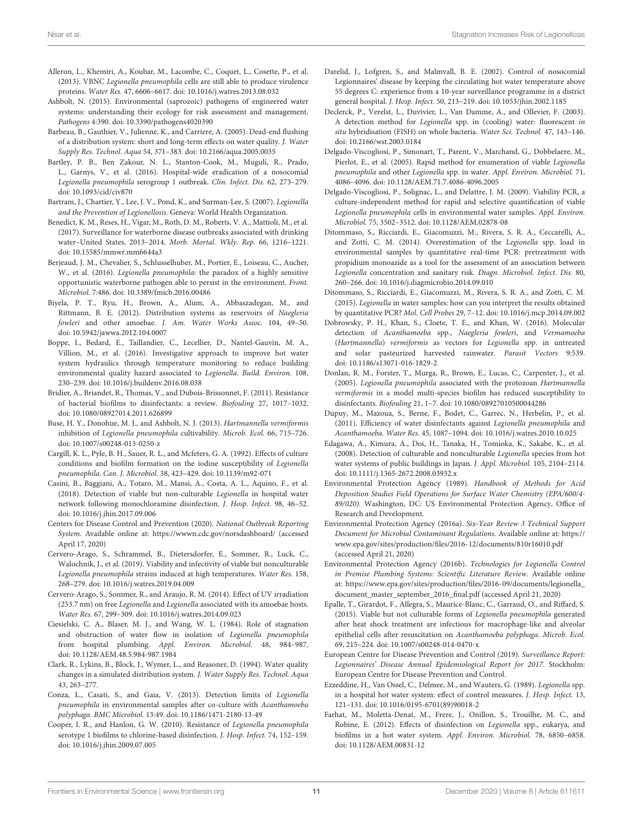- <span id="page-10-36"></span>Alleron, L., Khemiri, A., Koubar, M., Lacombe, C., Coquet, L., Cosette, P., et al. (2013). VBNC Legionella pneumophila cells are still able to produce virulence proteins. Water Res. 47, 6606–6617. doi: [10.1016/j.watres.2013.08.032](https://doi.org/10.1016/j.watres.2013.08.032)
- <span id="page-10-5"></span>Ashbolt, N. (2015). Environmental (saprozoic) pathogens of engineered water systems: understanding their ecology for risk assessment and management. Pathogens 4:390. doi: [10.3390/pathogens4020390](https://doi.org/10.3390/pathogens4020390)
- <span id="page-10-16"></span>Barbeau, B., Gauthier, V., Julienne, K., and Carriere, A. (2005). Dead-end flushing of a distribution system: short and long-term effects on water quality. J. Water Supply Res. Technol. Aqua 54, 371–383. doi: [10.2166/aqua.2005.0035](https://doi.org/10.2166/aqua.2005.0035)
- <span id="page-10-13"></span>Bartley, P. B., Ben Zakour, N. L., Stanton-Cook, M., Muguli, R., Prado, L., Garnys, V., et al. (2016). Hospital-wide eradication of a nosocomial Legionella pneumophila serogroup 1 outbreak. Clin. Infect. Dis. 62, 273–279. doi: [10.1093/cid/civ870](https://doi.org/10.1093/cid/civ870)
- <span id="page-10-1"></span>Bartram, J., Chartier, Y., Lee, J. V., Pond, K., and Surman-Lee, S. (2007). Legionella and the Prevention of Legionellosis. Geneva: World Health Organization.
- <span id="page-10-4"></span>Benedict, K. M., Reses, H., Vigar, M., Roth, D. M., Roberts, V. A., Mattioli, M., et al. (2017). Surveillance for waterborne disease outbreaks associated with drinking water–United States, 2013–2014. Morb. Mortal. Wkly. Rep. 66, 1216–1221. doi: [10.15585/mmwr.mm6644a3](https://doi.org/10.15585/mmwr.mm6644a3)
- <span id="page-10-0"></span>Berjeaud, J. M., Chevalier, S., Schlusselhuber, M., Portier, E., Loiseau, C., Aucher, W., et al. (2016). Legionella pneumophila: the paradox of a highly sensitive opportunistic waterborne pathogen able to persist in the environment. Front. Microbiol. 7:486. doi: [10.3389/fmicb.2016.00486](https://doi.org/10.3389/fmicb.2016.00486)
- <span id="page-10-12"></span>Biyela, P. T., Ryu, H., Brown, A., Alum, A., Abbaszadegan, M., and Rittmann, B. E. (2012). Distribution systems as reservoirs of Naegleria fowleri and other amoebae. J. Am. Water Works Assoc. 104, 49–50. doi: [10.5942/jawwa.2012.104.0007](https://doi.org/10.5942/jawwa.2012.104.0007)
- <span id="page-10-11"></span>Boppe, I., Bedard, E., Taillandier, C., Lecellier, D., Nantel-Gauvin, M. A., Villion, M., et al. (2016). Investigative approach to improve hot water system hydraulics through temperature monitoring to reduce building environmental quality hazard associated to Legionella. Build. Environ. 108, 230–239. doi: [10.1016/j.buildenv.2016.08.038](https://doi.org/10.1016/j.buildenv.2016.08.038)
- <span id="page-10-23"></span>Bridier, A., Briandet, R., Thomas, V., and Dubois-Brissonnet, F. (2011). Resistance of bacterial biofilms to disinfectants: a review. Biofouling 27, 1017–1032. doi: [10.1080/08927014.2011.626899](https://doi.org/10.1080/08927014.2011.626899)
- <span id="page-10-26"></span>Buse, H. Y., Donohue, M. J., and Ashbolt, N. J. (2013). Hartmannella vermiformis inhibition of Legionella pneumophila cultivability. Microb. Ecol. 66, 715–726. doi: [10.1007/s00248-013-0250-z](https://doi.org/10.1007/s00248-013-0250-z)
- <span id="page-10-19"></span>Cargill, K. L., Pyle, B. H., Sauer, R. L., and Mcfeters, G. A. (1992). Effects of culture conditions and biofilm formation on the iodine susceptibility of Legionella pneumophila. Can. J. Microbiol. 38, 423–429. doi: [10.1139/m92-071](https://doi.org/10.1139/m92-071)
- <span id="page-10-27"></span>Casini, B., Baggiani, A., Totaro, M., Mansi, A., Costa, A. L., Aquino, F., et al. (2018). Detection of viable but non-culturable Legionella in hospital water network following monochloramine disinfection. J. Hosp. Infect. 98, 46–52. doi: [10.1016/j.jhin.2017.09.006](https://doi.org/10.1016/j.jhin.2017.09.006)
- <span id="page-10-2"></span>Centers for Disease Control and Prevention (2020). National Outbreak Reporting System. Available online at:<https://wwwn.cdc.gov/norsdashboard/> (accessed April 17, 2020)
- <span id="page-10-35"></span>Cervero-Arago, S., Schrammel, B., Dietersdorfer, E., Sommer, R., Luck, C., Walochnik, J., et al. (2019). Viability and infectivity of viable but nonculturable Legionella pneumophila strains induced at high temperatures. Water Res. 158, 268–279. doi: [10.1016/j.watres.2019.04.009](https://doi.org/10.1016/j.watres.2019.04.009)
- <span id="page-10-20"></span>Cervero-Arago, S., Sommer, R., and Araujo, R. M. (2014). Effect of UV irradiation (253.7 nm) on free Legionella and Legionella associated with its amoebae hosts. Water Res. 67, 299–309. doi: [10.1016/j.watres.2014.09.023](https://doi.org/10.1016/j.watres.2014.09.023)
- <span id="page-10-7"></span>Ciesielski, C. A., Blaser, M. J., and Wang, W. L. (1984). Role of stagnation and obstruction of water flow in isolation of Legionella pneumophila from hospital plumbing. Appl. Environ. Microbiol. 48, 984–987. doi: [10.1128/AEM.48.5.984-987.1984](https://doi.org/10.1128/AEM.48.5.984-987.1984)
- <span id="page-10-17"></span>Clark, R., Lykins, B., Block, J., Wymer, L., and Reasoner, D. (1994). Water quality changes in a simulated distribution system. J. Water Supply Res. Technol. Aqua 43, 263–277.
- <span id="page-10-28"></span>Conza, L., Casati, S., and Gaia, V. (2013). Detection limits of Legionella pneumophila in environmental samples after co-culture with Acanthamoeba polyphaga. BMC Microbiol. 13:49. doi: [10.1186/1471-2180-13-49](https://doi.org/10.1186/1471-2180-13-49)
- <span id="page-10-18"></span>Cooper, I. R., and Hanlon, G. W. (2010). Resistance of Legionella pneumophila serotype 1 biofilms to chlorine-based disinfection. J. Hosp. Infect. 74, 152–159. doi: [10.1016/j.jhin.2009.07.005](https://doi.org/10.1016/j.jhin.2009.07.005)
- <span id="page-10-9"></span>Darelid, J., Lofgren, S., and Malmvall, B. E. (2002). Control of nosocomial Legionnaires' disease by keeping the circulating hot water temperature above 55 degrees C: experience from a 10-year surveillance programme in a district general hospital. J. Hosp. Infect. 50, 213–219. doi: [10.1053/jhin.2002.1185](https://doi.org/10.1053/jhin.2002.1185)
- <span id="page-10-30"></span>Declerck, P., Verelst, L., Duvivier, L., Van Damme, A., and Ollevier, F. (2003). A detection method for Legionella spp. in (cooling) water: fluorescent in situ hybridisation (FISH) on whole bacteria. Water Sci. Technol. 47, 143–146. doi: [10.2166/wst.2003.0184](https://doi.org/10.2166/wst.2003.0184)
- <span id="page-10-31"></span>Delgado-Viscogliosi, P., Simonart, T., Parent, V., Marchand, G., Dobbelaere, M., Pierlot, E., et al. (2005). Rapid method for enumeration of viable Legionella pneumophila and other Legionella spp. in water. Appl. Environ. Microbiol. 71, 4086–4096. doi: [10.1128/AEM.71.7.4086-4096.2005](https://doi.org/10.1128/AEM.71.7.4086-4096.2005)
- <span id="page-10-32"></span>Delgado-Viscogliosi, P., Solignac, L., and Delattre, J. M. (2009). Viability PCR, a culture-independent method for rapid and selective quantification of viable Legionella pneumophila cells in environmental water samples. Appl. Environ. Microbiol. 75, 3502–3512. doi: [10.1128/AEM.02878-08](https://doi.org/10.1128/AEM.02878-08)
- <span id="page-10-33"></span>Ditommaso, S., Ricciardi, E., Giacomuzzi, M., Rivera, S. R. A., Ceccarelli, A., and Zotti, C. M. (2014). Overestimation of the Legionella spp. load in environmental samples by quantitative real-time PCR: pretreatment with propidium monoazide as a tool for the assessment of an association between Legionella concentration and sanitary risk. Diagn. Microbiol. Infect. Dis. 80, 260–266. doi: [10.1016/j.diagmicrobio.2014.09.010](https://doi.org/10.1016/j.diagmicrobio.2014.09.010)
- <span id="page-10-34"></span>Ditommaso, S., Ricciardi, E., Giacomuzzi, M., Rivera, S. R. A., and Zotti, C. M. (2015). Legionella in water samples: how can you interpret the results obtained by quantitative PCR? Mol. Cell Probes 29, 7–12. doi: [10.1016/j.mcp.2014.09.002](https://doi.org/10.1016/j.mcp.2014.09.002)
- <span id="page-10-21"></span>Dobrowsky, P. H., Khan, S., Cloete, T. E., and Khan, W. (2016). Molecular detection of Acanthamoeba spp., Naegleria fowleri, and Vermamoeba (Hartmannella) vermiformis as vectors for Legionella spp. in untreated and solar pasteurized harvested rainwater. Parasit Vectors 9:539. doi: [10.1186/s13071-016-1829-2](https://doi.org/10.1186/s13071-016-1829-2)
- <span id="page-10-22"></span>Donlan, R. M., Forster, T., Murga, R., Brown, E., Lucas, C., Carpenter, J., et al. (2005). Legionella pneumophila associated with the protozoan Hartmannella vermiformis in a model multi-species biofilm has reduced susceptibility to disinfectants. Biofouling 21, 1–7. doi: [10.1080/08927010500044286](https://doi.org/10.1080/08927010500044286)
- <span id="page-10-6"></span>Dupuy, M., Mazoua, S., Berne, F., Bodet, C., Garrec, N., Herbelin, P., et al. (2011). Efficiency of water disinfectants against Legionella pneumophila and Acanthamoeba. Water Res. 45, 1087–1094. doi: [10.1016/j.watres.2010.10.025](https://doi.org/10.1016/j.watres.2010.10.025)
- <span id="page-10-10"></span>Edagawa, A., Kimura, A., Doi, H., Tanaka, H., Tomioka, K., Sakabe, K., et al. (2008). Detection of culturable and nonculturable Legionella species from hot water systems of public buildings in Japan. J. Appl. Microbiol. 105, 2104–2114. doi: [10.1111/j.1365-2672.2008.03932.x](https://doi.org/10.1111/j.1365-2672.2008.03932.x)
- <span id="page-10-25"></span>Environmental Protection Agency (1989). Handbook of Methods for Acid Deposition Studies Field Operations for Surface Water Chemistry (EPA/600/4- 89/020). Washington, DC: US Environmental Protection Agency, Office of Research and Development.
- <span id="page-10-15"></span>Environmental Protection Agency (2016a). Six-Year Review 3 Technical Support Document for Microbial Contaminant Regulations. Available online at: [https://](https://www.epa.gov/sites/production/files/2016-12/documents/810r16010.pdf) [www.epa.gov/sites/production/files/2016-12/documents/810r16010.pdf](https://www.epa.gov/sites/production/files/2016-12/documents/810r16010.pdf) (accessed April 21, 2020)
- <span id="page-10-14"></span>Environmental Protection Agency (2016b). Technologies for Legionella Control in Premise Plumbing Systems: Scientific Literature Review. Available online at: [https://www.epa.gov/sites/production/files/2016-09/documents/legionella\\_](https://www.epa.gov/sites/production/files/2016-09/documents/legionella_document_master_september_2016_final.pdf) [document\\_master\\_september\\_2016\\_final.pdf](https://www.epa.gov/sites/production/files/2016-09/documents/legionella_document_master_september_2016_final.pdf) (accessed April 21, 2020)
- <span id="page-10-29"></span>Epalle, T., Girardot, F., Allegra, S., Maurice-Blanc, C., Garraud, O., and Riffard, S. (2015). Viable but not culturable forms of Legionella pneumophila generated after heat shock treatment are infectious for macrophage-like and alveolar epithelial cells after resuscitation on Acanthamoeba polyphaga. Microb. Ecol. 69, 215–224. doi: [10.1007/s00248-014-0470-x](https://doi.org/10.1007/s00248-014-0470-x)
- <span id="page-10-3"></span>European Centre for Disease Prevention and Control (2019). Surveillance Report: Legionnaires' Disease Annual Epidemiological Report for 2017. Stockholm: European Centre for Disease Prevention and Control.
- <span id="page-10-8"></span>Ezzeddine, H., Van Ossel, C., Delmee, M., and Wauters, G. (1989). Legionella spp. in a hospital hot water system: effect of control measures. J. Hosp. Infect. 13, 121–131. doi: [10.1016/0195-6701\(89\)90018-2](https://doi.org/10.1016/0195-6701(89)90018-2)
- <span id="page-10-24"></span>Farhat, M., Moletta-Denat, M., Frere, J., Onillon, S., Trouilhe, M. C., and Robine, E. (2012). Effects of disinfection on Legionella spp., eukarya, and biofilms in a hot water system. Appl. Environ. Microbiol. 78, 6850–6858. doi: [10.1128/AEM.00831-12](https://doi.org/10.1128/AEM.00831-12)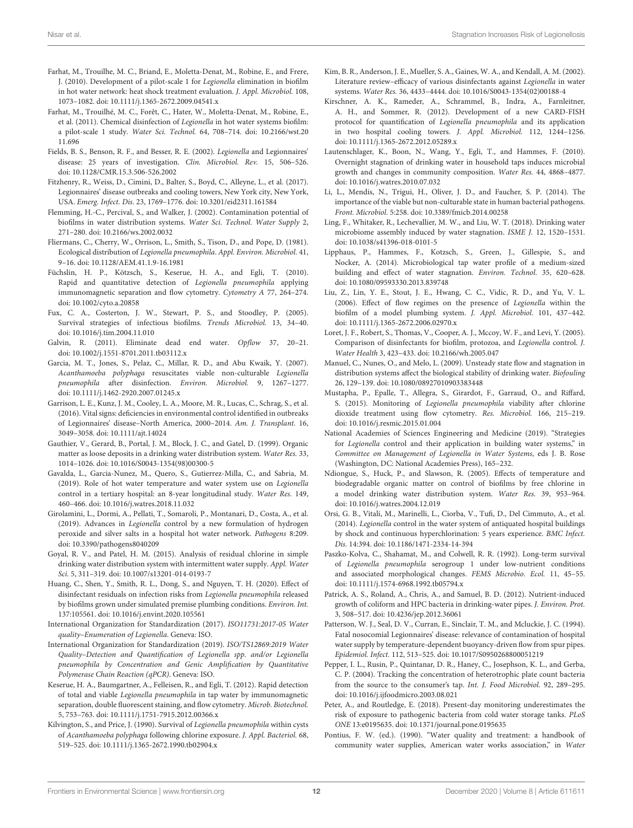- <span id="page-11-9"></span>Farhat, M., Trouilhe, M. C., Briand, E., Moletta-Denat, M., Robine, E., and Frere, J. (2010). Development of a pilot-scale 1 for Legionella elimination in biofilm in hot water network: heat shock treatment evaluation. J. Appl. Microbiol. 108, 1073–1082. doi: [10.1111/j.1365-2672.2009.04541.x](https://doi.org/10.1111/j.1365-2672.2009.04541.x)
- <span id="page-11-38"></span>Farhat, M., Trouilhé, M. C., Forêt, C., Hater, W., Moletta-Denat, M., Robine, E., et al. (2011). Chemical disinfection of Legionella in hot water systems biofilm: a pilot-scale 1 study. Water Sci. Technol. [64, 708–714. doi: 10.2166/wst.20](https://doi.org/10.2166/wst.2011.696) 11.696
- <span id="page-11-0"></span>Fields, B. S., Benson, R. F., and Besser, R. E. (2002). Legionella and Legionnaires' disease: 25 years of investigation. Clin. Microbiol. Rev. 15, 506–526. doi: [10.1128/CMR.15.3.506-526.2002](https://doi.org/10.1128/CMR.15.3.506-526.2002)
- <span id="page-11-1"></span>Fitzhenry, R., Weiss, D., Cimini, D., Balter, S., Boyd, C., Alleyne, L., et al. (2017). Legionnaires' disease outbreaks and cooling towers, New York city, New York, USA. Emerg. Infect. Dis. 23, 1769–1776. doi: [10.3201/eid2311.161584](https://doi.org/10.3201/eid2311.161584)
- <span id="page-11-23"></span>Flemming, H.-C., Percival, S., and Walker, J. (2002). Contamination potential of biofilms in water distribution systems. Water Sci. Technol. Water Supply 2, 271–280. doi: [10.2166/ws.2002.0032](https://doi.org/10.2166/ws.2002.0032)
- <span id="page-11-28"></span>Fliermans, C., Cherry, W., Orrison, L., Smith, S., Tison, D., and Pope, D. (1981). Ecological distribution of Legionella pneumophila. Appl. Environ. Microbiol. 41, 9–16. doi: [10.1128/AEM.41.1.9-16.1981](https://doi.org/10.1128/AEM.41.1.9-16.1981)
- <span id="page-11-35"></span>Füchslin, H. P., Kötzsch, S., Keserue, H. A., and Egli, T. (2010). Rapid and quantitative detection of Legionella pneumophila applying immunomagnetic separation and flow cytometry. Cytometry A 77, 264–274. doi: [10.1002/cyto.a.20858](https://doi.org/10.1002/cyto.a.20858)
- <span id="page-11-29"></span>Fux, C. A., Costerton, J. W., Stewart, P. S., and Stoodley, P. (2005). Survival strategies of infectious biofilms. Trends Microbiol. 13, 34–40. doi: [10.1016/j.tim.2004.11.010](https://doi.org/10.1016/j.tim.2004.11.010)
- <span id="page-11-21"></span>Galvin, R. (2011). Eliminate dead end water. Opflow 37, 20–21. doi: [10.1002/j.1551-8701.2011.tb03112.x](https://doi.org/10.1002/j.1551-8701.2011.tb03112.x)
- <span id="page-11-33"></span>Garcia, M. T., Jones, S., Pelaz, C., Millar, R. D., and Abu Kwaik, Y. (2007). Acanthamoeba polyphaga resuscitates viable non-culturable Legionella pneumophila after disinfection. Environ. Microbiol. 9, 1267–1277. doi: [10.1111/j.1462-2920.2007.01245.x](https://doi.org/10.1111/j.1462-2920.2007.01245.x)
- <span id="page-11-16"></span>Garrison, L. E., Kunz, J. M., Cooley, L. A., Moore, M. R., Lucas, C., Schrag, S., et al. (2016). Vital signs: deficiencies in environmental control identified in outbreaks of Legionnaires' disease–North America, 2000–2014. Am. J. Transplant. 16, 3049–3058. doi: [10.1111/ajt.14024](https://doi.org/10.1111/ajt.14024)
- <span id="page-11-10"></span>Gauthier, V., Gerard, B., Portal, J. M., Block, J. C., and Gatel, D. (1999). Organic matter as loose deposits in a drinking water distribution system. Water Res. 33, 1014–1026. doi: [10.1016/S0043-1354\(98\)00300-5](https://doi.org/10.1016/S0043-1354(98)00300-5)
- <span id="page-11-5"></span>Gavalda, L., Garcia-Nunez, M., Quero, S., Gutierrez-Milla, C., and Sabria, M. (2019). Role of hot water temperature and water system use on Legionella control in a tertiary hospital: an 8-year longitudinal study. Water Res. 149, 460–466. doi: [10.1016/j.watres.2018.11.032](https://doi.org/10.1016/j.watres.2018.11.032)
- <span id="page-11-6"></span>Girolamini, L., Dormi, A., Pellati, T., Somaroli, P., Montanari, D., Costa, A., et al. (2019). Advances in Legionella control by a new formulation of hydrogen peroxide and silver salts in a hospital hot water network. Pathogens 8:209. doi: [10.3390/pathogens8040209](https://doi.org/10.3390/pathogens8040209)
- <span id="page-11-20"></span>Goyal, R. V., and Patel, H. M. (2015). Analysis of residual chlorine in simple drinking water distribution system with intermittent water supply. Appl. Water Sci. 5, 311–319. doi: [10.1007/s13201-014-0193-7](https://doi.org/10.1007/s13201-014-0193-7)
- <span id="page-11-24"></span>Huang, C., Shen, Y., Smith, R. L., Dong, S., and Nguyen, T. H. (2020). Effect of disinfectant residuals on infection risks from Legionella pneumophila released by biofilms grown under simulated premise plumbing conditions. Environ. Int. 137:105561. doi: [10.1016/j.envint.2020.105561](https://doi.org/10.1016/j.envint.2020.105561)
- <span id="page-11-32"></span>International Organization for Standardization (2017). ISO11731:2017-05 Water quality–Enumeration of Legionella. Geneva: ISO.
- <span id="page-11-37"></span>International Organization for Standardization (2019). ISO/TS12869:2019 Water Quality–Detection and Quantification of Legionella spp. and/or Legionella pneumophila by Concentration and Genic Amplification by Quantitative Polymerase Chain Reaction (qPCR). Geneva: ISO.
- <span id="page-11-36"></span>Keserue, H. A., Baumgartner, A., Felleisen, R., and Egli, T. (2012). Rapid detection of total and viable Legionella pneumophila in tap water by immunomagnetic separation, double fluorescent staining, and flow cytometry. Microb. Biotechnol. 5, 753–763. doi: [10.1111/j.1751-7915.2012.00366.x](https://doi.org/10.1111/j.1751-7915.2012.00366.x)
- <span id="page-11-25"></span>Kilvington, S., and Price, J. (1990). Survival of Legionella pneumophila within cysts of Acanthamoeba polyphaga following chlorine exposure. J. Appl. Bacteriol. 68, 519–525. doi: [10.1111/j.1365-2672.1990.tb02904.x](https://doi.org/10.1111/j.1365-2672.1990.tb02904.x)
- <span id="page-11-18"></span>Kim, B. R., Anderson, J. E., Mueller, S. A., Gaines, W. A., and Kendall, A. M. (2002). Literature review–efficacy of various disinfectants against Legionella in water systems. Water Res. 36, 4433–4444. doi: [10.1016/S0043-1354\(02\)00188-4](https://doi.org/10.1016/S0043-1354(02)00188-4)
- <span id="page-11-34"></span>Kirschner, A. K., Rameder, A., Schrammel, B., Indra, A., Farnleitner, A. H., and Sommer, R. (2012). Development of a new CARD-FISH protocol for quantification of Legionella pneumophila and its application in two hospital cooling towers. J. Appl. Microbiol. 112, 1244–1256. doi: [10.1111/j.1365-2672.2012.05289.x](https://doi.org/10.1111/j.1365-2672.2012.05289.x)
- <span id="page-11-14"></span>Lautenschlager, K., Boon, N., Wang, Y., Egli, T., and Hammes, F. (2010). Overnight stagnation of drinking water in household taps induces microbial growth and changes in community composition. Water Res. 44, 4868–4877. doi: [10.1016/j.watres.2010.07.032](https://doi.org/10.1016/j.watres.2010.07.032)
- <span id="page-11-31"></span>Li, L., Mendis, N., Trigui, H., Oliver, J. D., and Faucher, S. P. (2014). The importance of the viable but non-culturable state in human bacterial pathogens. Front. Microbiol. 5:258. doi: [10.3389/fmicb.2014.00258](https://doi.org/10.3389/fmicb.2014.00258)
- <span id="page-11-3"></span>Ling, F., Whitaker, R., Lechevallier, M. W., and Liu, W. T. (2018). Drinking water microbiome assembly induced by water stagnation. ISME J. 12, 1520–1531. doi: [10.1038/s41396-018-0101-5](https://doi.org/10.1038/s41396-018-0101-5)
- <span id="page-11-15"></span>Lipphaus, P., Hammes, F., Kotzsch, S., Green, J., Gillespie, S., and Nocker, A. (2014). Microbiological tap water profile of a medium-sized building and effect of water stagnation. Environ. Technol. 35, 620–628. doi: [10.1080/09593330.2013.839748](https://doi.org/10.1080/09593330.2013.839748)
- <span id="page-11-8"></span>Liu, Z., Lin, Y. E., Stout, J. E., Hwang, C. C., Vidic, R. D., and Yu, V. L. (2006). Effect of flow regimes on the presence of Legionella within the biofilm of a model plumbing system. J. Appl. Microbiol. 101, 437–442. doi: [10.1111/j.1365-2672.2006.02970.x](https://doi.org/10.1111/j.1365-2672.2006.02970.x)
- <span id="page-11-7"></span>Loret, J. F., Robert, S., Thomas, V., Cooper, A. J., Mccoy, W. F., and Levi, Y. (2005). Comparison of disinfectants for biofilm, protozoa, and Legionella control. J. Water Health 3, 423–433. doi: [10.2166/wh.2005.047](https://doi.org/10.2166/wh.2005.047)
- <span id="page-11-12"></span>Manuel, C., Nunes, O., and Melo, L. (2009). Unsteady state flow and stagnation in distribution systems affect the biological stability of drinking water. Biofouling 26, 129–139. doi: [10.1080/08927010903383448](https://doi.org/10.1080/08927010903383448)
- <span id="page-11-30"></span>Mustapha, P., Epalle, T., Allegra, S., Girardot, F., Garraud, O., and Riffard, S. (2015). Monitoring of Legionella pneumophila viability after chlorine dioxide treatment using flow cytometry. Res. Microbiol. 166, 215–219. doi: [10.1016/j.resmic.2015.01.004](https://doi.org/10.1016/j.resmic.2015.01.004)
- <span id="page-11-2"></span>National Academies of Sciences Engineering and Medicine (2019). "Strategies for Legionella control and their application in building water systems," in Committee on Management of Legionella in Water Systems, eds J. B. Rose (Washington, DC: National Academies Press), 165–232.
- <span id="page-11-26"></span>Ndiongue, S., Huck, P., and Slawson, R. (2005). Effects of temperature and biodegradable organic matter on control of biofilms by free chlorine in a model drinking water distribution system. Water Res. 39, 953–964. doi: [10.1016/j.watres.2004.12.019](https://doi.org/10.1016/j.watres.2004.12.019)
- <span id="page-11-22"></span>Orsi, G. B., Vitali, M., Marinelli, L., Ciorba, V., Tufi, D., Del Cimmuto, A., et al. (2014). Legionella control in the water system of antiquated hospital buildings by shock and continuous hyperchlorination: 5 years experience. BMC Infect. Dis. 14:394. doi: [10.1186/1471-2334-14-394](https://doi.org/10.1186/1471-2334-14-394)
- <span id="page-11-27"></span>Paszko-Kolva, C., Shahamat, M., and Colwell, R. R. (1992). Long-term survival of Legionella pneumophila serogroup 1 under low-nutrient conditions and associated morphological changes. FEMS Microbio. Ecol. 11, 45–55. doi: [10.1111/j.1574-6968.1992.tb05794.x](https://doi.org/10.1111/j.1574-6968.1992.tb05794.x)
- <span id="page-11-19"></span>Patrick, A. S., Roland, A., Chris, A., and Samuel, B. D. (2012). Nutrient-induced growth of coliform and HPC bacteria in drinking-water pipes. J. Environ. Prot. 3, 508–517. doi: [10.4236/jep.2012.36061](https://doi.org/10.4236/jep.2012.36061)
- <span id="page-11-4"></span>Patterson, W. J., Seal, D. V., Curran, E., Sinclair, T. M., and Mcluckie, J. C. (1994). Fatal nosocomial Legionnaires' disease: relevance of contamination of hospital water supply by temperature-dependent buoyancy-driven flow from spur pipes. Epidemiol. Infect. 112, 513–525. doi: [10.1017/S0950268800051219](https://doi.org/10.1017/S0950268800051219)
- <span id="page-11-13"></span>Pepper, I. L., Rusin, P., Quintanar, D. R., Haney, C., Josephson, K. L., and Gerba, C. P. (2004). Tracking the concentration of heterotrophic plate count bacteria from the source to the consumer's tap. Int. J. Food Microbiol. 92, 289–295. doi: [10.1016/j.ijfoodmicro.2003.08.021](https://doi.org/10.1016/j.ijfoodmicro.2003.08.021)
- <span id="page-11-11"></span>Peter, A., and Routledge, E. (2018). Present-day monitoring underestimates the risk of exposure to pathogenic bacteria from cold water storage tanks. PLoS ONE 13:e0195635. doi: [10.1371/journal.pone.0195635](https://doi.org/10.1371/journal.pone.0195635)
- <span id="page-11-17"></span>Pontius, F. W. (ed.). (1990). "Water quality and treatment: a handbook of community water supplies, American water works association," in Water